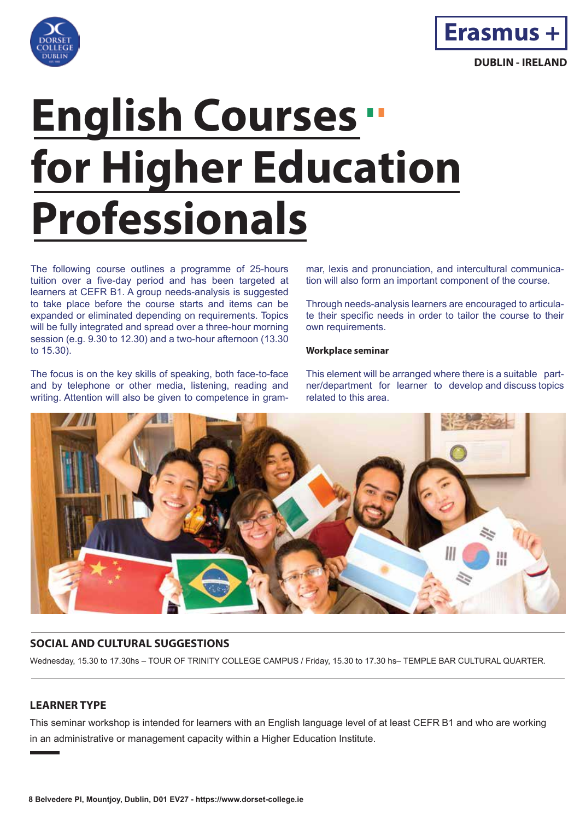



# **English Courses for Higher Education Professionals**

The following course outlines a programme of 25-hours tuition over a five-day period and has been targeted at learners at CEFR B1. A group needs-analysis is suggested to take place before the course starts and items can be expanded or eliminated depending on requirements. Topics will be fully integrated and spread over a three-hour morning session (e.g. 9.30 to 12.30) and a two-hour afternoon (13.30 to 15.30).

The focus is on the key skills of speaking, both face-to-face and by telephone or other media, listening, reading and writing. Attention will also be given to competence in grammar, lexis and pronunciation, and intercultural communication will also form an important component of the course.

Through needs-analysis learners are encouraged to articulate their specific needs in order to tailor the course to their own requirements.

#### **Workplace seminar**

This element will be arranged where there is a suitable partner/department for learner to develop and discuss topics related to this area.



# **SOCIAL AND CULTURAL SUGGESTIONS**

Wednesday, 15.30 to 17.30hs – TOUR OF TRINITY COLLEGE CAMPUS / Friday, 15.30 to 17.30 hs– TEMPLE BAR CULTURAL QUARTER.

# **LEARNER TYPE**

This seminar workshop is intended for learners with an English language level of at least CEFR B1 and who are working in an administrative or management capacity within a Higher Education Institute.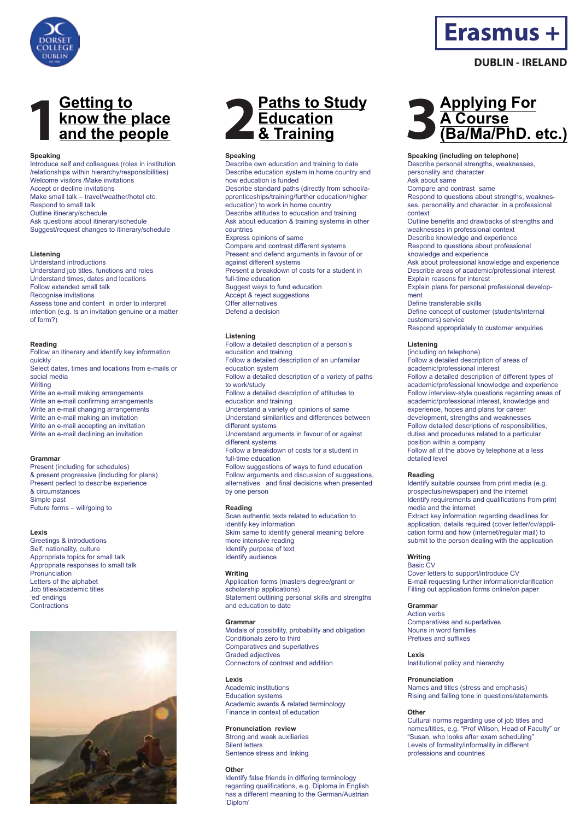

# **1 Getting to know the place <u>Cetting to</u><br>
know the place<br>
and the people**

#### **Speaking**

Introduce self and colleagues (roles in institution /relationships within hierarchy/responsibilities) Welcome visitors /Make invitations Accept or decline invitations Make small talk – travel/weather/hotel etc. Respond to small talk Outline itinerary/schedule Ask questions about itinerary/schedule Suggest/request changes to itinerary/schedule

#### **Listening**

Understand introductions Understand job titles, functions and roles Understand times, dates and locations Follow extended small talk Recognise invitations Assess tone and content in order to interpret intention (e.g. Is an invitation genuine or a matter of form?)

#### **Reading**

Follow an itinerary and identify key information quickly Select dates, times and locations from e-mails or social media **Writing** Write an e-mail making arrangements Write an e-mail confirming arrangements Write an e-mail changing arrangements Write an e-mail making an invitation Write an e-mail accepting an invitation Write an e-mail declining an invitation

#### **Grammar**

Present (including for schedules) & present progressive (including for plans) Present perfect to describe experience & circumstances Simple past Future forms – will/going to

#### **Lexis**

Greetings & introductions Self, nationality, culture Appropriate topics for small talk Appropriate responses to small talk Pronunciation Letters of the alphabet Job titles/academic titles 'ed' endings **Contractions** 





#### **Speaking**

Describe own education and training to date Describe education system in home country and how education is funded Describe standard paths (directly from school/apprenticeships/training/further education/higher education) to work in home country Describe attitudes to education and training Ask about education & training systems in other countries Express opinions of same Compare and contrast different systems Present and defend arguments in favour of or against different systems Present a breakdown of costs for a student in full-time education Suggest ways to fund education Accept & reject suggestions Offer alternatives Defend a decision

#### **Listening**

Follow a detailed description of a person's education and training Follow a detailed description of an unfamiliar education system Follow a detailed description of a variety of paths to work/study Follow a detailed description of attitudes to education and training Understand a variety of opinions of same Understand similarities and differences between different systems Understand arguments in favour of or against different systems Follow a breakdown of costs for a student in full-time education Follow suggestions of ways to fund education Follow arguments and discussion of suggestions, alternatives and final decisions when presented by one person

#### **Reading**

Scan authentic texts related to education to identify key information Skim same to identify general meaning before more intensive reading Identify purpose of text Identify audience

#### **Writing**

Application forms (masters degree/grant or scholarship applications) Statement outlining personal skills and strengths and education to date

#### **Grammar**

Modals of possibility, probability and obligation Conditionals zero to third Comparatives and superlatives Graded adjectives Connectors of contrast and addition

#### **Lexis**

Academic institutions Education systems Academic awards & related terminology Finance in context of education

#### **Pronunciation review**

Strong and weak auxiliaries Silent letters Sentence stress and linking

#### **Other**

Identify false friends in differing terminology regarding qualifications, e.g. Diploma in English has a different meaning to the German/Austrian 'Diplom'



**Erasmus +**

**DUBLIN - IRELAND**

#### **Speaking (including on telephone)**

Describe personal strengths, weaknesses,

personality and character

Ask about same

Compare and contrast same Respond to questions about strengths, weaknes-

ses, personality and character in a professional context

Outline benefits and drawbacks of strengths and weaknesses in professional context Describe knowledge and experience

Respond to questions about professional knowledge and experience

Ask about professional knowledge and experience Describe areas of academic/professional interest Explain reasons for interest Explain plans for personal professional develop-

ment Define transferable skills Define concept of customer (students/internal customers) service

Respond appropriately to customer enquiries

#### **Listening**

(including on telephone) Follow a detailed description of areas of academic/professional interest Follow a detailed description of different types of academic/professional knowledge and experience Follow interview-style questions regarding areas of academic/professional interest, knowledge and experience, hopes and plans for career development, strengths and weaknesses Follow detailed descriptions of responsibilities, duties and procedures related to a particular position within a company Follow all of the above by telephone at a less detailed level

#### **Reading**

Identify suitable courses from print media (e.g. prospectus/newspaper) and the internet Identify requirements and qualifications from print media and the internet Extract key information regarding deadlines for application, details required (cover letter/cv/application form) and how (internet/regular mail) to submit to the person dealing with the application

#### **Writing**  Basic CV

Cover letters to support/introduce CV E-mail requesting further information/clarification Filling out application forms online/on paper

#### **Grammar**

Action verbs Comparatives and superlatives Nouns in word families Prefixes and suffixes

Institutional policy and hierarchy

#### **Pronunciation**

Names and titles (stress and emphasis) Rising and falling tone in questions/statements

#### **Other**

**Lexis** 

Cultural norms regarding use of job titles and names/titles, e.g. "Prof Wilson, Head of Faculty" or "Susan, who looks after exam scheduling" Levels of formality/informality in different professions and countries